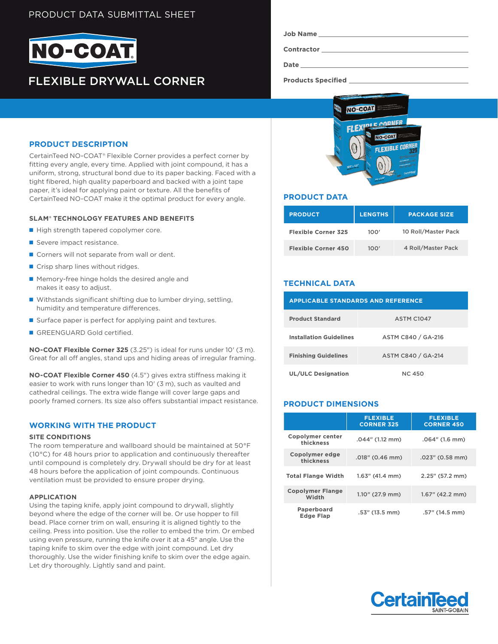# PRODUCT DATA SUBMITTAL SHEET



# FLEXIBLE DRYWALL CORNER

**Contractor**

**Date**

**Products Specified** 



## **PRODUCT DATA**

| <b>PRODUCT</b>             | <b>LENGTHS</b> | <b>PACKAGE SIZE</b> |
|----------------------------|----------------|---------------------|
| <b>Flexible Corner 325</b> | 100'           | 10 Roll/Master Pack |
| <b>Flexible Corner 450</b> | 100'           | 4 Roll/Master Pack  |

## **TECHNICAL DATA**

| <b>APPLICABLE STANDARDS AND REFERENCE</b> |                    |  |  |
|-------------------------------------------|--------------------|--|--|
| <b>Product Standard</b>                   | <b>ASTM C1047</b>  |  |  |
| <b>Installation Guidelines</b>            | ASTM C840 / GA-216 |  |  |
| <b>Finishing Guidelines</b>               | ASTM C840 / GA-214 |  |  |
| <b>UL/ULC Designation</b>                 | NC 450             |  |  |

## **PRODUCT DIMENSIONS**

|                                  | <b>FLEXIBLE</b><br><b>CORNER 325</b> | <b>FLEXIBLE</b><br><b>CORNER 450</b> |
|----------------------------------|--------------------------------------|--------------------------------------|
| Copolymer center<br>thickness    | .044" (1.12 mm)                      | $.064''$ (1.6 mm)                    |
| Copolymer edge<br>thickness      | $.018$ " (0.46 mm)                   | .023" (0.58 mm)                      |
| <b>Total Flange Width</b>        | $1.63''$ (41.4 mm)                   | 2.25" (57.2 mm)                      |
| <b>Copolymer Flange</b><br>Width | $1.10''$ (27.9 mm)                   | $1.67''$ (42.2 mm)                   |
| Paperboard<br><b>Edge Flap</b>   | $.53''$ (13.5 mm)                    | .57" (14.5 mm)                       |



## **PRODUCT DESCRIPTION**

CertainTeed NO-COAT® Flexible Corner provides a perfect corner by fitting every angle, every time. Applied with joint compound, it has a uniform, strong, structural bond due to its paper backing. Faced with a tight fibered, high quality paperboard and backed with a joint tape paper, it's ideal for applying paint or texture. All the benefits of CertainTeed NO-COAT make it the optimal product for every angle.

#### **SLAM® TECHNOLOGY FEATURES AND BENEFITS**

- High strength tapered copolymer core.
- Severe impact resistance.
- Corners will not separate from wall or dent.
- Crisp sharp lines without ridges.
- Memory-free hinge holds the desired angle and makes it easy to adjust.
- Withstands significant shifting due to lumber drying, settling, humidity and temperature differences.
- Surface paper is perfect for applying paint and textures.
- GREENGUARD Gold certified.

**NO-COAT Flexible Corner 325** (3.25") is ideal for runs under 10' (3 m). Great for all off angles, stand ups and hiding areas of irregular framing.

**NO-COAT Flexible Corner 450** (4.5") gives extra stiffness making it easier to work with runs longer than 10' (3 m), such as vaulted and cathedral ceilings. The extra wide flange will cover large gaps and poorly framed corners. Its size also offers substantial impact resistance.

## **WORKING WITH THE PRODUCT**

#### **SITE CONDITIONS**

The room temperature and wallboard should be maintained at 50°F (10°C) for 48 hours prior to application and continuously thereafter until compound is completely dry. Drywall should be dry for at least 48 hours before the application of joint compounds. Continuous ventilation must be provided to ensure proper drying.

#### **APPLICATION**

Using the taping knife, apply joint compound to drywall, slightly beyond where the edge of the corner will be. Or use hopper to fill bead. Place corner trim on wall, ensuring it is aligned tightly to the ceiling. Press into position. Use the roller to embed the trim. Or embed using even pressure, running the knife over it at a 45° angle. Use the taping knife to skim over the edge with joint compound. Let dry thoroughly. Use the wider finishing knife to skim over the edge again. Let dry thoroughly. Lightly sand and paint.